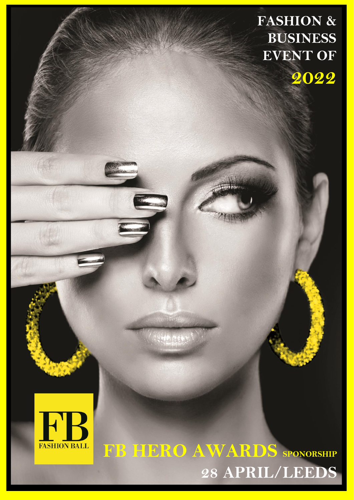**FASHION & BUSINESS EVENT OF 2022**



1134

## **FB HERO AWARDS SPONORSHIP 28 APRIL/LEEDS**